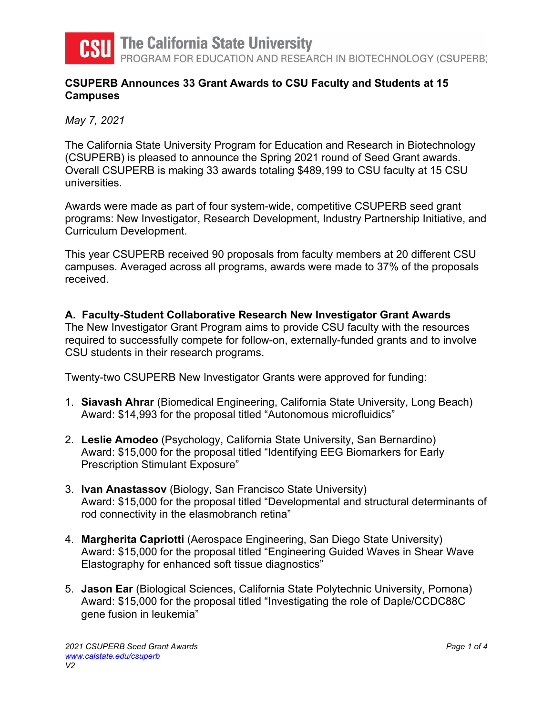

**The California State University** 

PROGRAM FOR EDUCATION AND RESEARCH IN BIOTECHNOLOGY (CSUPERB)

## **CSUPERB Announces 33 Grant Awards to CSU Faculty and Students at 15 Campuses**

*May 7, 2021* 

The California State University Program for Education and Research in Biotechnology (CSUPERB) is pleased to announce the Spring 2021 round of Seed Grant awards. Overall CSUPERB is making 33 awards totaling \$489,199 to CSU faculty at 15 CSU universities.

Awards were made as part of four system-wide, competitive CSUPERB seed grant programs: New Investigator, Research Development, Industry Partnership Initiative, and Curriculum Development.

This year CSUPERB received 90 proposals from faculty members at 20 different CSU campuses. Averaged across all programs, awards were made to 37% of the proposals received.

# **A. Faculty-Student Collaborative Research New Investigator Grant Awards**

The New Investigator Grant Program aims to provide CSU faculty with the resources required to successfully compete for follow-on, externally-funded grants and to involve CSU students in their research programs.

Twenty-two CSUPERB New Investigator Grants were approved for funding:

- 1. **Siavash Ahrar** (Biomedical Engineering, California State University, Long Beach) Award: \$14,993 for the proposal titled "Autonomous microfluidics"
- 2. **Leslie Amodeo** (Psychology, California State University, San Bernardino) Award: \$15,000 for the proposal titled "Identifying EEG Biomarkers for Early Prescription Stimulant Exposure"
- 3. **Ivan Anastassov** (Biology, San Francisco State University) Award: \$15,000 for the proposal titled "Developmental and structural determinants of rod connectivity in the elasmobranch retina"
- 4. **Margherita Capriotti** (Aerospace Engineering, San Diego State University) Award: \$15,000 for the proposal titled "Engineering Guided Waves in Shear Wave Elastography for enhanced soft tissue diagnostics"
- 5. **Jason Ear** (Biological Sciences, California State Polytechnic University, Pomona) Award: \$15,000 for the proposal titled "Investigating the role of Daple/CCDC88C gene fusion in leukemia"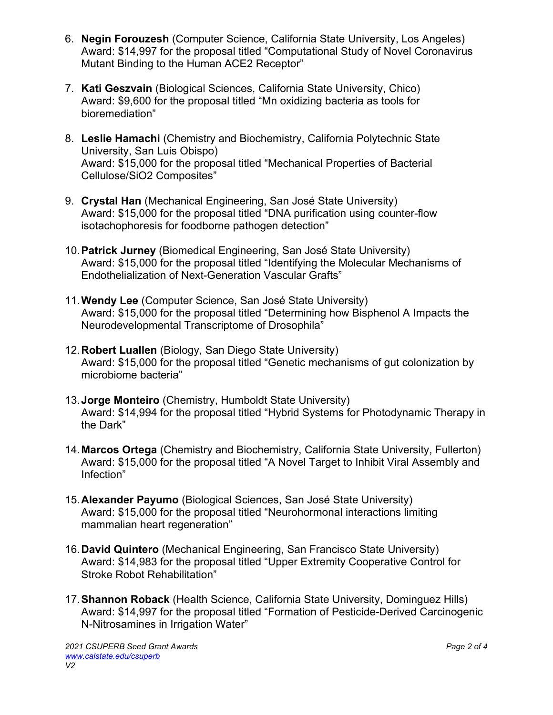- 6. **Negin Forouzesh** (Computer Science, California State University, Los Angeles) Award: \$14,997 for the proposal titled "Computational Study of Novel Coronavirus Mutant Binding to the Human ACE2 Receptor"
- 7. **Kati Geszvain** (Biological Sciences, California State University, Chico) Award: \$9,600 for the proposal titled "Mn oxidizing bacteria as tools for bioremediation"
- 8. **Leslie Hamachi** (Chemistry and Biochemistry, California Polytechnic State University, San Luis Obispo) Award: \$15,000 for the proposal titled "Mechanical Properties of Bacterial Cellulose/SiO2 Composites"
- 9. **Crystal Han** (Mechanical Engineering, San José State University) Award: \$15,000 for the proposal titled "DNA purification using counter-flow isotachophoresis for foodborne pathogen detection"
- 10. **Patrick Jurney** (Biomedical Engineering, San José State University) Award: \$15,000 for the proposal titled "Identifying the Molecular Mechanisms of Endothelialization of Next-Generation Vascular Grafts"
- 11. **Wendy Lee** (Computer Science, San José State University) Award: \$15,000 for the proposal titled "Determining how Bisphenol A Impacts the Neurodevelopmental Transcriptome of Drosophila"
- 12. **Robert Luallen** (Biology, San Diego State University) Award: \$15,000 for the proposal titled "Genetic mechanisms of gut colonization by microbiome bacteria"
- 13. **Jorge Monteiro** (Chemistry, Humboldt State University) Award: \$14,994 for the proposal titled "Hybrid Systems for Photodynamic Therapy in the Dark"
- 14. **Marcos Ortega** (Chemistry and Biochemistry, California State University, Fullerton) Award: \$15,000 for the proposal titled "A Novel Target to Inhibit Viral Assembly and Infection"
- 15. **Alexander Payumo** (Biological Sciences, San José State University) Award: \$15,000 for the proposal titled "Neurohormonal interactions limiting mammalian heart regeneration"
- 16. **David Quintero** (Mechanical Engineering, San Francisco State University) Award: \$14,983 for the proposal titled "Upper Extremity Cooperative Control for Stroke Robot Rehabilitation"
- 17. **Shannon Roback** (Health Science, California State University, Dominguez Hills) Award: \$14,997 for the proposal titled "Formation of Pesticide-Derived Carcinogenic N-Nitrosamines in Irrigation Water"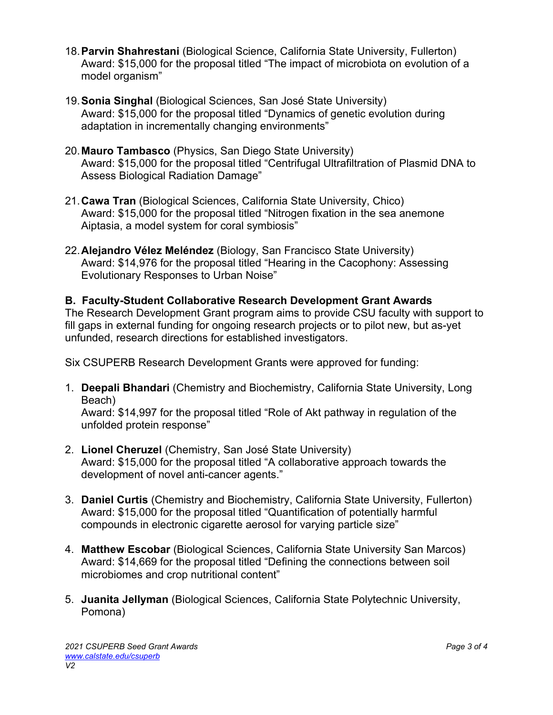- 18. **Parvin Shahrestani** (Biological Science, California State University, Fullerton) Award: \$15,000 for the proposal titled "The impact of microbiota on evolution of a model organism"
- 19. **Sonia Singhal** (Biological Sciences, San José State University) Award: \$15,000 for the proposal titled "Dynamics of genetic evolution during adaptation in incrementally changing environments"
- 20. **Mauro Tambasco** (Physics, San Diego State University) Award: \$15,000 for the proposal titled "Centrifugal Ultrafiltration of Plasmid DNA to Assess Biological Radiation Damage"
- 21. **Cawa Tran** (Biological Sciences, California State University, Chico) Award: \$15,000 for the proposal titled "Nitrogen fixation in the sea anemone Aiptasia, a model system for coral symbiosis"
- 22. **Alejandro Vélez Meléndez** (Biology, San Francisco State University) Award: \$14,976 for the proposal titled "Hearing in the Cacophony: Assessing Evolutionary Responses to Urban Noise"

# **B. Faculty-Student Collaborative Research Development Grant Awards**

The Research Development Grant program aims to provide CSU faculty with support to fill gaps in external funding for ongoing research projects or to pilot new, but as-yet unfunded, research directions for established investigators.

Six CSUPERB Research Development Grants were approved for funding:

1. **Deepali Bhandari** (Chemistry and Biochemistry, California State University, Long Beach)

Award: \$14,997 for the proposal titled "Role of Akt pathway in regulation of the unfolded protein response"

- 2. **Lionel Cheruzel** (Chemistry, San José State University) Award: \$15,000 for the proposal titled "A collaborative approach towards the development of novel anti-cancer agents."
- 3. **Daniel Curtis** (Chemistry and Biochemistry, California State University, Fullerton) Award: \$15,000 for the proposal titled "Quantification of potentially harmful compounds in electronic cigarette aerosol for varying particle size"
- 4. **Matthew Escobar** (Biological Sciences, California State University San Marcos) Award: \$14,669 for the proposal titled "Defining the connections between soil microbiomes and crop nutritional content"
- 5. **Juanita Jellyman** (Biological Sciences, California State Polytechnic University, Pomona)